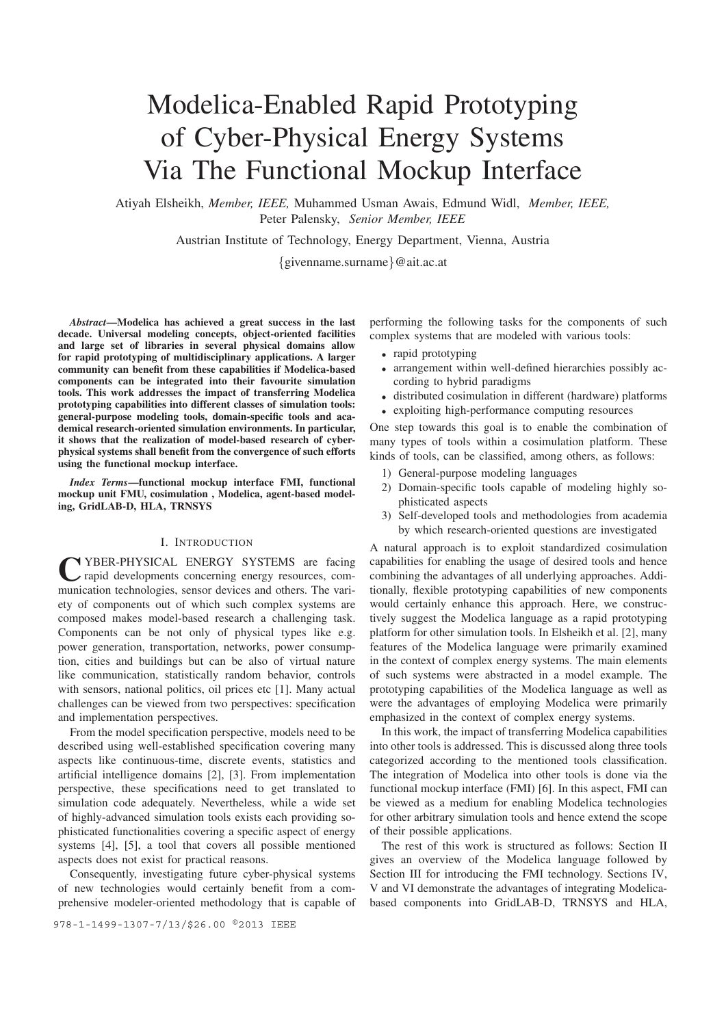# Modelica-Enabled Rapid Prototyping of Cyber-Physical Energy Systems Via The Functional Mockup Interface

Atiyah Elsheikh, *Member, IEEE,* Muhammed Usman Awais, Edmund Widl, *Member, IEEE,* Peter Palensky, *Senior Member, IEEE*

Austrian Institute of Technology, Energy Department, Vienna, Austria

{givenname.surname}@ait.ac.at

*Abstract*—Modelica has achieved a great success in the last decade. Universal modeling concepts, object-oriented facilities and large set of libraries in several physical domains allow for rapid prototyping of multidisciplinary applications. A larger community can benefit from these capabilities if Modelica-based components can be integrated into their favourite simulation tools. This work addresses the impact of transferring Modelica prototyping capabilities into different classes of simulation tools: general-purpose modeling tools, domain-specific tools and academical research-oriented simulation environments. In particular, it shows that the realization of model-based research of cyberphysical systems shall benefit from the convergence of such efforts using the functional mockup interface.

*Index Terms*—functional mockup interface FMI, functional mockup unit FMU, cosimulation , Modelica, agent-based modeling, GridLAB-D, HLA, TRNSYS

# I. INTRODUCTION

CYBER-PHYSICAL ENERGY SYSTEMS are facing<br>rapid developments concerning energy resources, com-<br>municipal technologies are devices and others. The unit munication technologies, sensor devices and others. The variety of components out of which such complex systems are composed makes model-based research a challenging task. Components can be not only of physical types like e.g. power generation, transportation, networks, power consumption, cities and buildings but can be also of virtual nature like communication, statistically random behavior, controls with sensors, national politics, oil prices etc [1]. Many actual challenges can be viewed from two perspectives: specification and implementation perspectives.

From the model specification perspective, models need to be described using well-established specification covering many aspects like continuous-time, discrete events, statistics and artificial intelligence domains [2], [3]. From implementation perspective, these specifications need to get translated to simulation code adequately. Nevertheless, while a wide set of highly-advanced simulation tools exists each providing sophisticated functionalities covering a specific aspect of energy systems [4], [5], a tool that covers all possible mentioned aspects does not exist for practical reasons.

Consequently, investigating future cyber-physical systems of new technologies would certainly benefit from a comprehensive modeler-oriented methodology that is capable of performing the following tasks for the components of such complex systems that are modeled with various tools:

- rapid prototyping
- arrangement within well-defined hierarchies possibly according to hybrid paradigms
- distributed cosimulation in different (hardware) platforms
- exploiting high-performance computing resources

One step towards this goal is to enable the combination of many types of tools within a cosimulation platform. These kinds of tools, can be classified, among others, as follows:

- 1) General-purpose modeling languages
- 2) Domain-specific tools capable of modeling highly sophisticated aspects
- 3) Self-developed tools and methodologies from academia by which research-oriented questions are investigated

A natural approach is to exploit standardized cosimulation capabilities for enabling the usage of desired tools and hence combining the advantages of all underlying approaches. Additionally, flexible prototyping capabilities of new components would certainly enhance this approach. Here, we constructively suggest the Modelica language as a rapid prototyping platform for other simulation tools. In Elsheikh et al. [2], many features of the Modelica language were primarily examined in the context of complex energy systems. The main elements of such systems were abstracted in a model example. The prototyping capabilities of the Modelica language as well as were the advantages of employing Modelica were primarily emphasized in the context of complex energy systems.

In this work, the impact of transferring Modelica capabilities into other tools is addressed. This is discussed along three tools categorized according to the mentioned tools classification. The integration of Modelica into other tools is done via the functional mockup interface (FMI) [6]. In this aspect, FMI can be viewed as a medium for enabling Modelica technologies for other arbitrary simulation tools and hence extend the scope of their possible applications.

The rest of this work is structured as follows: Section II gives an overview of the Modelica language followed by Section III for introducing the FMI technology. Sections IV, V and VI demonstrate the advantages of integrating Modelicabased components into GridLAB-D, TRNSYS and HLA,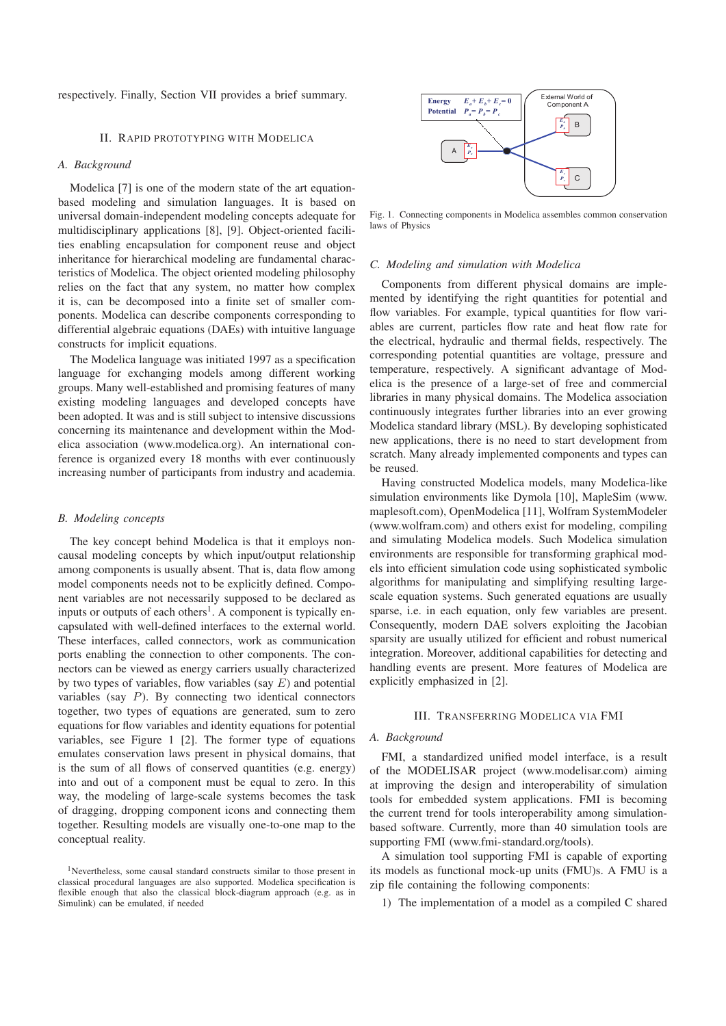respectively. Finally, Section VII provides a brief summary.

## II. RAPID PROTOTYPING WITH MODELICA

### *A. Background*

Modelica [7] is one of the modern state of the art equationbased modeling and simulation languages. It is based on universal domain-independent modeling concepts adequate for multidisciplinary applications [8], [9]. Object-oriented facilities enabling encapsulation for component reuse and object inheritance for hierarchical modeling are fundamental characteristics of Modelica. The object oriented modeling philosophy relies on the fact that any system, no matter how complex it is, can be decomposed into a finite set of smaller components. Modelica can describe components corresponding to differential algebraic equations (DAEs) with intuitive language constructs for implicit equations.

The Modelica language was initiated 1997 as a specification language for exchanging models among different working groups. Many well-established and promising features of many existing modeling languages and developed concepts have been adopted. It was and is still subject to intensive discussions concerning its maintenance and development within the Modelica association (www.modelica.org). An international conference is organized every 18 months with ever continuously increasing number of participants from industry and academia.

## *B. Modeling concepts*

The key concept behind Modelica is that it employs noncausal modeling concepts by which input/output relationship among components is usually absent. That is, data flow among model components needs not to be explicitly defined. Component variables are not necessarily supposed to be declared as inputs or outputs of each others<sup>1</sup>. A component is typically encapsulated with well-defined interfaces to the external world. These interfaces, called connectors, work as communication ports enabling the connection to other components. The connectors can be viewed as energy carriers usually characterized by two types of variables, flow variables (say  $E$ ) and potential variables (say  $P$ ). By connecting two identical connectors together, two types of equations are generated, sum to zero equations for flow variables and identity equations for potential variables, see Figure 1 [2]. The former type of equations emulates conservation laws present in physical domains, that is the sum of all flows of conserved quantities (e.g. energy) into and out of a component must be equal to zero. In this way, the modeling of large-scale systems becomes the task of dragging, dropping component icons and connecting them together. Resulting models are visually one-to-one map to the conceptual reality.



Fig. 1. Connecting components in Modelica assembles common conservation laws of Physics

## *C. Modeling and simulation with Modelica*

Components from different physical domains are implemented by identifying the right quantities for potential and flow variables. For example, typical quantities for flow variables are current, particles flow rate and heat flow rate for the electrical, hydraulic and thermal fields, respectively. The corresponding potential quantities are voltage, pressure and temperature, respectively. A significant advantage of Modelica is the presence of a large-set of free and commercial libraries in many physical domains. The Modelica association continuously integrates further libraries into an ever growing Modelica standard library (MSL). By developing sophisticated new applications, there is no need to start development from scratch. Many already implemented components and types can be reused.

Having constructed Modelica models, many Modelica-like simulation environments like Dymola [10], MapleSim (www. maplesoft.com), OpenModelica [11], Wolfram SystemModeler (www.wolfram.com) and others exist for modeling, compiling and simulating Modelica models. Such Modelica simulation environments are responsible for transforming graphical models into efficient simulation code using sophisticated symbolic algorithms for manipulating and simplifying resulting largescale equation systems. Such generated equations are usually sparse, i.e. in each equation, only few variables are present. Consequently, modern DAE solvers exploiting the Jacobian sparsity are usually utilized for efficient and robust numerical integration. Moreover, additional capabilities for detecting and handling events are present. More features of Modelica are explicitly emphasized in [2].

# III. TRANSFERRING MODELICA VIA FMI

## *A. Background*

FMI, a standardized unified model interface, is a result of the MODELISAR project (www.modelisar.com) aiming at improving the design and interoperability of simulation tools for embedded system applications. FMI is becoming the current trend for tools interoperability among simulationbased software. Currently, more than 40 simulation tools are supporting FMI (www.fmi-standard.org/tools).

A simulation tool supporting FMI is capable of exporting its models as functional mock-up units (FMU)s. A FMU is a zip file containing the following components:

1) The implementation of a model as a compiled C shared

<sup>1</sup>Nevertheless, some causal standard constructs similar to those present in classical procedural languages are also supported. Modelica specification is flexible enough that also the classical block-diagram approach (e.g. as in Simulink) can be emulated, if needed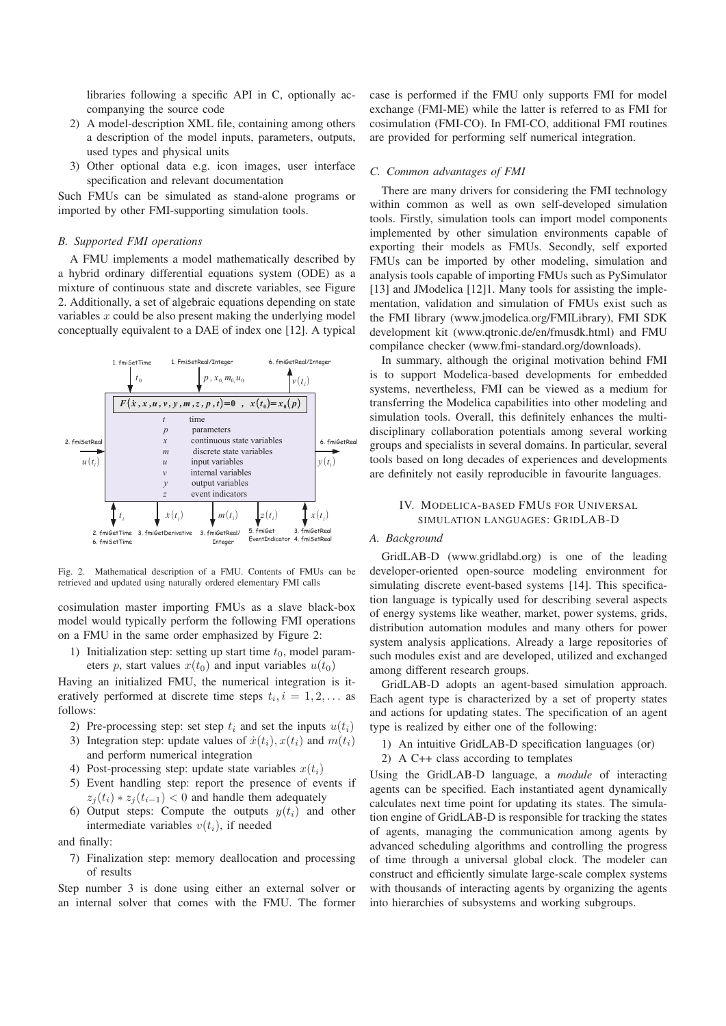libraries following a specific API in C, optionally accompanying the source code

- 2) A model-description XML file, containing among others a description of the model inputs, parameters, outputs, used types and physical units
- 3) Other optional data e.g. icon images, user interface specification and relevant documentation

Such FMUs can be simulated as stand-alone programs or imported by other FMI-supporting simulation tools.

#### *B. Supported FMI operations*

A FMU implements a model mathematically described by a hybrid ordinary differential equations system (ODE) as a mixture of continuous state and discrete variables, see Figure 2. Additionally, a set of algebraic equations depending on state variables  $x$  could be also present making the underlying model conceptually equivalent to a DAE of index one [12]. A typical



Fig. 2. Mathematical description of a FMU. Contents of FMUs can be retrieved and updated using naturally ordered elementary FMI calls

cosimulation master importing FMUs as a slave black-box model would typically perform the following FMI operations on a FMU in the same order emphasized by Figure 2:

1) Initialization step: setting up start time  $t_0$ , model parameters p, start values  $x(t_0)$  and input variables  $u(t_0)$ 

Having an initialized FMU, the numerical integration is iteratively performed at discrete time steps  $t_i, i = 1, 2, \ldots$  as follows:

- 2) Pre-processing step: set step  $t_i$  and set the inputs  $u(t_i)$
- 3) Integration step: update values of  $\dot{x}(t_i)$ ,  $x(t_i)$  and  $m(t_i)$ and perform numerical integration
- 4) Post-processing step: update state variables  $x(t_i)$
- 5) Event handling step: report the presence of events if  $z_i(t_i) * z_i(t_{i-1}) < 0$  and handle them adequately
- 6) Output steps: Compute the outputs  $y(t_i)$  and other intermediate variables  $v(t_i)$ , if needed

and finally:

7) Finalization step: memory deallocation and processing of results

Step number 3 is done using either an external solver or an internal solver that comes with the FMU. The former case is performed if the FMU only supports FMI for model exchange (FMI-ME) while the latter is referred to as FMI for cosimulation (FMI-CO). In FMI-CO, additional FMI routines are provided for performing self numerical integration.

## *C. Common advantages of FMI*

There are many drivers for considering the FMI technology within common as well as own self-developed simulation tools. Firstly, simulation tools can import model components implemented by other simulation environments capable of exporting their models as FMUs. Secondly, self exported FMUs can be imported by other modeling, simulation and analysis tools capable of importing FMUs such as PySimulator [13] and JModelica [12]1. Many tools for assisting the implementation, validation and simulation of FMUs exist such as the FMI library (www.jmodelica.org/FMILibrary), FMI SDK development kit (www.qtronic.de/en/fmusdk.html) and FMU compilance checker (www.fmi-standard.org/downloads).

In summary, although the original motivation behind FMI is to support Modelica-based developments for embedded systems, nevertheless, FMI can be viewed as a medium for transferring the Modelica capabilities into other modeling and simulation tools. Overall, this definitely enhances the multidisciplinary collaboration potentials among several working groups and specialists in several domains. In particular, several tools based on long decades of experiences and developments are definitely not easily reproducible in favourite languages.

# IV. MODELICA-BASED FMUS FOR UNIVERSAL SIMULATION LANGUAGES: GRIDLAB-D

## *A. Background*

GridLAB-D (www.gridlabd.org) is one of the leading developer-oriented open-source modeling environment for simulating discrete event-based systems [14]. This specification language is typically used for describing several aspects of energy systems like weather, market, power systems, grids, distribution automation modules and many others for power system analysis applications. Already a large repositories of such modules exist and are developed, utilized and exchanged among different research groups.

GridLAB-D adopts an agent-based simulation approach. Each agent type is characterized by a set of property states and actions for updating states. The specification of an agent type is realized by either one of the following:

- 1) An intuitive GridLAB-D specification languages (or)
- 2) A C++ class according to templates

Using the GridLAB-D language, a *module* of interacting agents can be specified. Each instantiated agent dynamically calculates next time point for updating its states. The simulation engine of GridLAB-D is responsible for tracking the states of agents, managing the communication among agents by advanced scheduling algorithms and controlling the progress of time through a universal global clock. The modeler can construct and efficiently simulate large-scale complex systems with thousands of interacting agents by organizing the agents into hierarchies of subsystems and working subgroups.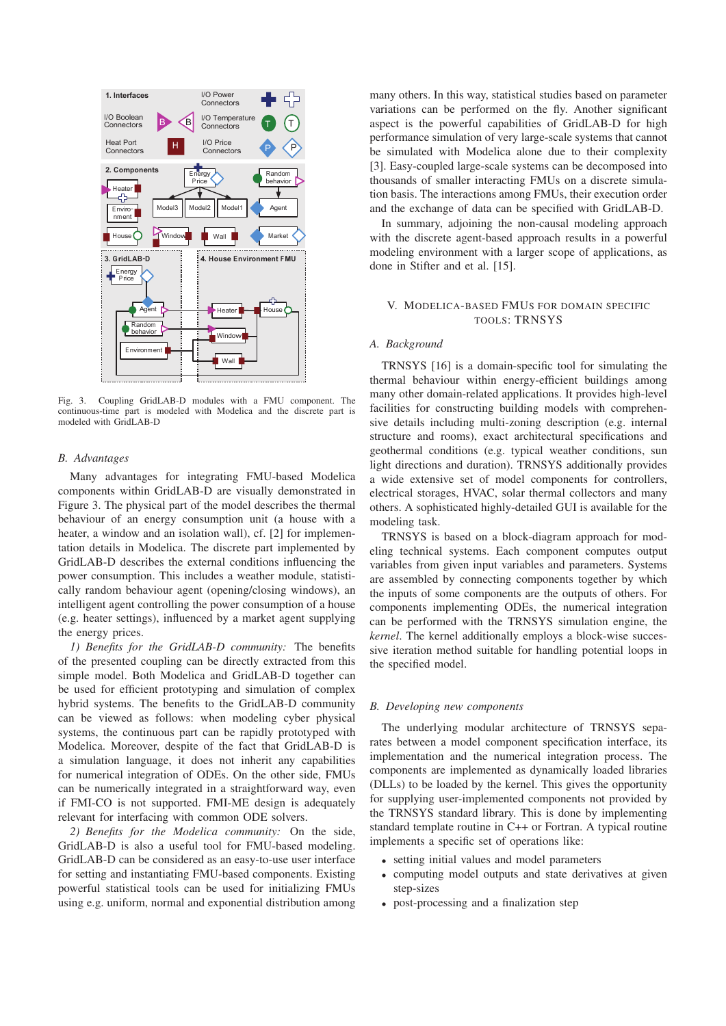

Fig. 3. Coupling GridLAB-D modules with a FMU component. The continuous-time part is modeled with Modelica and the discrete part is modeled with GridLAB-D

## *B. Advantages*

Many advantages for integrating FMU-based Modelica components within GridLAB-D are visually demonstrated in Figure 3. The physical part of the model describes the thermal behaviour of an energy consumption unit (a house with a heater, a window and an isolation wall), cf. [2] for implementation details in Modelica. The discrete part implemented by GridLAB-D describes the external conditions influencing the power consumption. This includes a weather module, statistically random behaviour agent (opening/closing windows), an intelligent agent controlling the power consumption of a house (e.g. heater settings), influenced by a market agent supplying the energy prices.

*1) Benefits for the GridLAB-D community:* The benefits of the presented coupling can be directly extracted from this simple model. Both Modelica and GridLAB-D together can be used for efficient prototyping and simulation of complex hybrid systems. The benefits to the GridLAB-D community can be viewed as follows: when modeling cyber physical systems, the continuous part can be rapidly prototyped with Modelica. Moreover, despite of the fact that GridLAB-D is a simulation language, it does not inherit any capabilities for numerical integration of ODEs. On the other side, FMUs can be numerically integrated in a straightforward way, even if FMI-CO is not supported. FMI-ME design is adequately relevant for interfacing with common ODE solvers.

*2) Benefits for the Modelica community:* On the side, GridLAB-D is also a useful tool for FMU-based modeling. GridLAB-D can be considered as an easy-to-use user interface for setting and instantiating FMU-based components. Existing powerful statistical tools can be used for initializing FMUs using e.g. uniform, normal and exponential distribution among

many others. In this way, statistical studies based on parameter variations can be performed on the fly. Another significant aspect is the powerful capabilities of GridLAB-D for high performance simulation of very large-scale systems that cannot be simulated with Modelica alone due to their complexity [3]. Easy-coupled large-scale systems can be decomposed into thousands of smaller interacting FMUs on a discrete simulation basis. The interactions among FMUs, their execution order and the exchange of data can be specified with GridLAB-D.

In summary, adjoining the non-causal modeling approach with the discrete agent-based approach results in a powerful modeling environment with a larger scope of applications, as done in Stifter and et al. [15].

## V. MODELICA-BASED FMUS FOR DOMAIN SPECIFIC TOOLS: TRNSYS

## *A. Background*

TRNSYS [16] is a domain-specific tool for simulating the thermal behaviour within energy-efficient buildings among many other domain-related applications. It provides high-level facilities for constructing building models with comprehensive details including multi-zoning description (e.g. internal structure and rooms), exact architectural specifications and geothermal conditions (e.g. typical weather conditions, sun light directions and duration). TRNSYS additionally provides a wide extensive set of model components for controllers, electrical storages, HVAC, solar thermal collectors and many others. A sophisticated highly-detailed GUI is available for the modeling task.

TRNSYS is based on a block-diagram approach for modeling technical systems. Each component computes output variables from given input variables and parameters. Systems are assembled by connecting components together by which the inputs of some components are the outputs of others. For components implementing ODEs, the numerical integration can be performed with the TRNSYS simulation engine, the *kernel*. The kernel additionally employs a block-wise successive iteration method suitable for handling potential loops in the specified model.

#### *B. Developing new components*

The underlying modular architecture of TRNSYS separates between a model component specification interface, its implementation and the numerical integration process. The components are implemented as dynamically loaded libraries (DLLs) to be loaded by the kernel. This gives the opportunity for supplying user-implemented components not provided by the TRNSYS standard library. This is done by implementing standard template routine in C++ or Fortran. A typical routine implements a specific set of operations like:

- setting initial values and model parameters
- computing model outputs and state derivatives at given step-sizes
- post-processing and a finalization step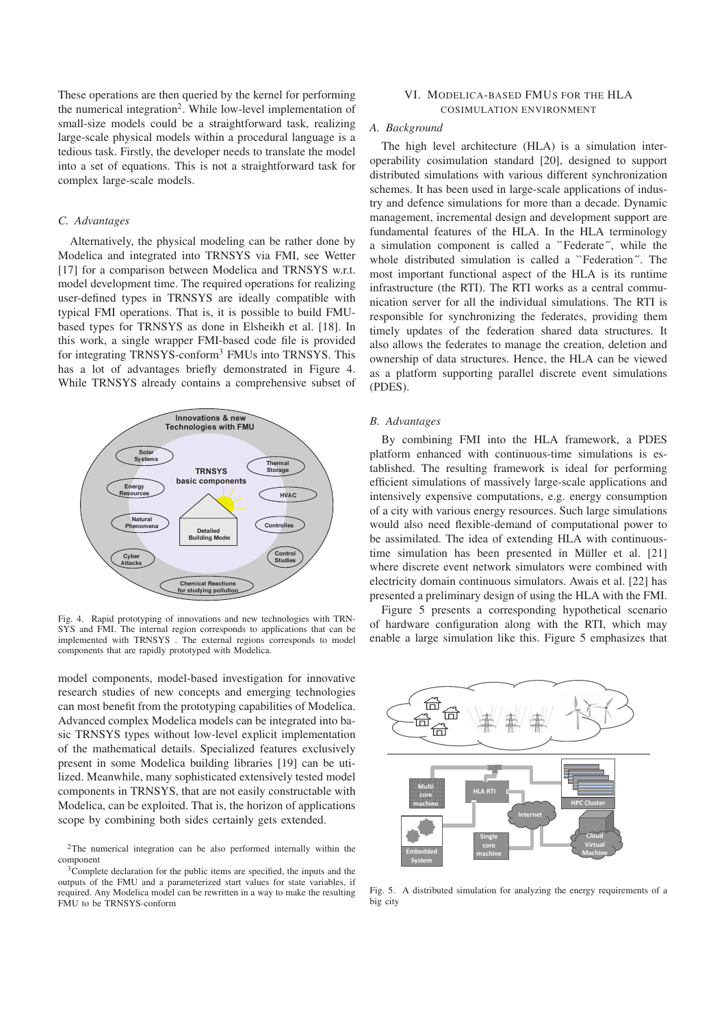These operations are then queried by the kernel for performing the numerical integration<sup>2</sup>. While low-level implementation of small-size models could be a straightforward task, realizing large-scale physical models within a procedural language is a tedious task. Firstly, the developer needs to translate the model into a set of equations. This is not a straightforward task for complex large-scale models.

#### *C. Advantages*

Alternatively, the physical modeling can be rather done by Modelica and integrated into TRNSYS via FMI, see Wetter [17] for a comparison between Modelica and TRNSYS w.r.t. model development time. The required operations for realizing user-defined types in TRNSYS are ideally compatible with typical FMI operations. That is, it is possible to build FMUbased types for TRNSYS as done in Elsheikh et al. [18]. In this work, a single wrapper FMI-based code file is provided for integrating TRNSYS-conform<sup>3</sup> FMUs into TRNSYS. This has a lot of advantages briefly demonstrated in Figure 4. While TRNSYS already contains a comprehensive subset of



Fig. 4. Rapid prototyping of innovations and new technologies with TRN-SYS and FMI. The internal region corresponds to applications that can be implemented with TRNSYS . The external regions corresponds to model components that are rapidly prototyped with Modelica.

model components, model-based investigation for innovative research studies of new concepts and emerging technologies can most benefit from the prototyping capabilities of Modelica. Advanced complex Modelica models can be integrated into basic TRNSYS types without low-level explicit implementation of the mathematical details. Specialized features exclusively present in some Modelica building libraries [19] can be utilized. Meanwhile, many sophisticated extensively tested model components in TRNSYS, that are not easily constructable with Modelica, can be exploited. That is, the horizon of applications scope by combining both sides certainly gets extended.

## VI. MODELICA-BASED FMUS FOR THE HLA COSIMULATION ENVIRONMENT

# *A. Background*

The high level architecture (HLA) is a simulation interoperability cosimulation standard [20], designed to support distributed simulations with various different synchronization schemes. It has been used in large-scale applications of industry and defence simulations for more than a decade. Dynamic management, incremental design and development support are fundamental features of the HLA. In the HLA terminology a simulation component is called a "Federate", while the whole distributed simulation is called a "Federation". The most important functional aspect of the HLA is its runtime infrastructure (the RTI). The RTI works as a central communication server for all the individual simulations. The RTI is responsible for synchronizing the federates, providing them timely updates of the federation shared data structures. It also allows the federates to manage the creation, deletion and ownership of data structures. Hence, the HLA can be viewed as a platform supporting parallel discrete event simulations (PDES).

## *B. Advantages*

By combining FMI into the HLA framework, a PDES platform enhanced with continuous-time simulations is established. The resulting framework is ideal for performing efficient simulations of massively large-scale applications and intensively expensive computations, e.g. energy consumption of a city with various energy resources. Such large simulations would also need flexible-demand of computational power to be assimilated. The idea of extending HLA with continuoustime simulation has been presented in Müller et al. [21] where discrete event network simulators were combined with electricity domain continuous simulators. Awais et al. [22] has presented a preliminary design of using the HLA with the FMI.

Figure 5 presents a corresponding hypothetical scenario of hardware configuration along with the RTI, which may enable a large simulation like this. Figure 5 emphasizes that



Fig. 5. A distributed simulation for analyzing the energy requirements of a big city

<sup>2</sup>The numerical integration can be also performed internally within the component

<sup>&</sup>lt;sup>3</sup>Complete declaration for the public items are specified, the inputs and the outputs of the FMU and a parameterized start values for state variables, if required. Any Modelica model can be rewritten in a way to make the resulting FMU to be TRNSYS-conform